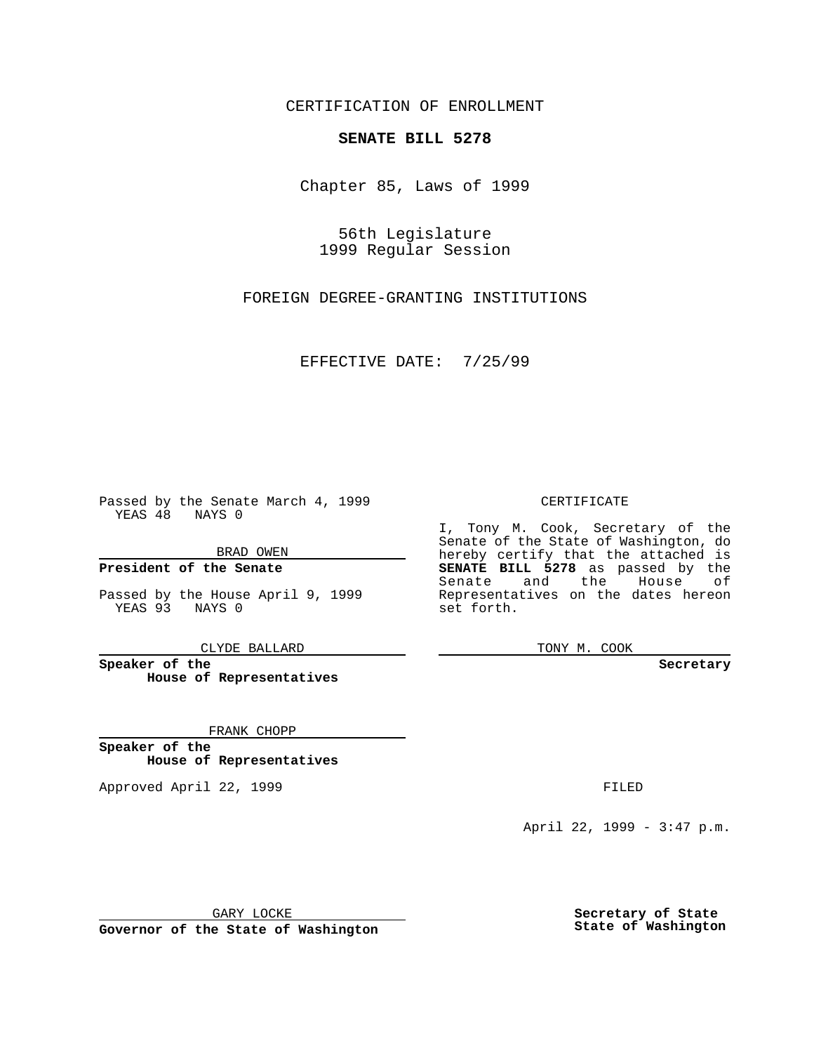CERTIFICATION OF ENROLLMENT

## **SENATE BILL 5278**

Chapter 85, Laws of 1999

56th Legislature 1999 Regular Session

FOREIGN DEGREE-GRANTING INSTITUTIONS

EFFECTIVE DATE: 7/25/99

Passed by the Senate March 4, 1999 YEAS 48 NAYS 0

BRAD OWEN

**President of the Senate**

Passed by the House April 9, 1999 YEAS 93 NAYS 0

CLYDE BALLARD

**Speaker of the House of Representatives**

FRANK CHOPP

**Speaker of the House of Representatives**

Approved April 22, 1999 **FILED** 

## CERTIFICATE

I, Tony M. Cook, Secretary of the Senate of the State of Washington, do hereby certify that the attached is **SENATE BILL 5278** as passed by the Senate and the House of Representatives on the dates hereon set forth.

TONY M. COOK

## **Secretary**

April 22, 1999 - 3:47 p.m.

GARY LOCKE

**Governor of the State of Washington**

**Secretary of State State of Washington**